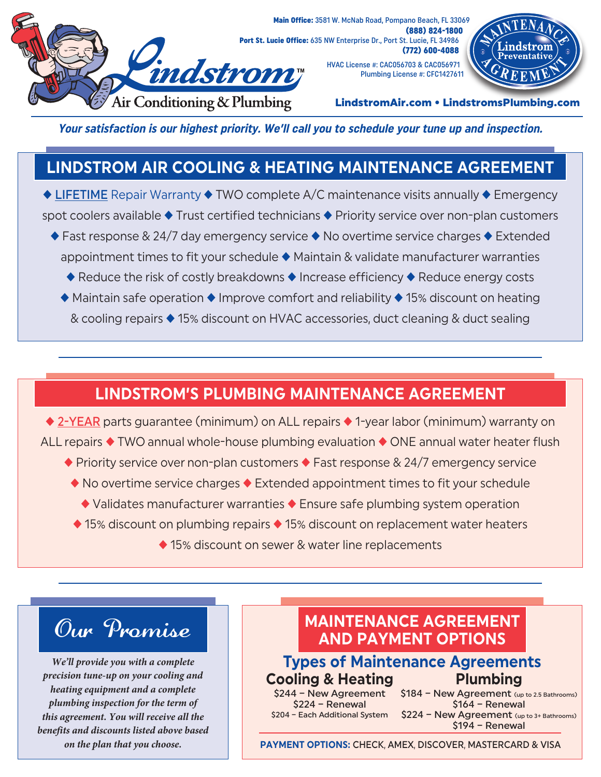

Main Office: 3581 W. McNab Road, Pompano Beach, FL 33069 (888) 824-1800 Port St. Lucie Office: 635 NW Enterprise Dr., Port St. Lucie, FL 34986 (772) 600-4088

> HVAC License #: CAC056703 & CAC056971 Plumbing License #: CFC1427611



LindstromAir.com • LindstromsPlumbing.com

**Your satisfaction is our highest priority. We'll call you to schedule your tune up and inspection.**

# **LINDSTROM AIR COOLING & HEATING MAINTENANCE AGREEMENT**

 $\triangle$  LIFETIME Repair Warranty  $\triangle$  TWO complete A/C maintenance visits annually  $\triangle$  Emergency spot coolers available  $\blacklozenge$  Trust certified technicians  $\blacklozenge$  Priority service over non-plan customers

- $\blacklozenge$  Fast response & 24/7 day emergency service  $\blacklozenge$  No overtime service charges  $\blacklozenge$  Extended appointment times to fit your schedule  $\blacklozenge$  Maintain & validate manufacturer warranties
	- $\triangle$  Reduce the risk of costly breakdowns  $\triangle$  Increase efficiency  $\triangle$  Reduce energy costs
	- $\blacklozenge$  Maintain safe operation  $\blacklozenge$  Improve comfort and reliability  $\blacklozenge$  15% discount on heating & cooling repairs ♦ 15% discount on HVAC accessories, duct cleaning & duct sealing

## **LINDSTROM'S PLUMBING MAINTENANCE AGREEMENT**

 $\triangleq$  2-YEAR parts guarantee (minimum) on ALL repairs  $\triangleq$  1-year labor (minimum) warranty on ALL repairs  $\triangle$  TWO annual whole-house plumbing evaluation  $\triangle$  ONE annual water heater flush

- $\blacklozenge$  Priority service over non-plan customers  $\blacklozenge$  Fast response & 24/7 emergency service
- $\blacklozenge$  No overtime service charges  $\blacklozenge$  Extended appointment times to fit your schedule
	- $\blacklozenge$  Validates manufacturer warranties  $\blacklozenge$  Ensure safe plumbing system operation
- $\triangle$  15% discount on plumbing repairs  $\triangle$  15% discount on replacement water heaters
	- ◆ 15% discount on sewer & water line replacements



*We'll provide you with a complete precision tune-up on your cooling and heating equipment and a complete plumbing inspection for the term of this agreement. You will receive all the benefits and discounts listed above based on the plan that you choose.*

## **MAINTENANCE AGREEMENT AND PAYMENT OPTIONS**

## **Types of Maintenance Agreements Cooling & Heating Plumbing**

\$224 – Renewal \$204 – Each Additional System

\$244 – New Agreement \$184 – New Agreement (up to 2.5 Bathrooms) \$164 – Renewal \$224 - New Agreement (up to 3+ Bathrooms)

\$194 – Renewal

**PAYMENT OPTIONS:** CHECK, AMEX, DISCOVER, MASTERCARD & VISA